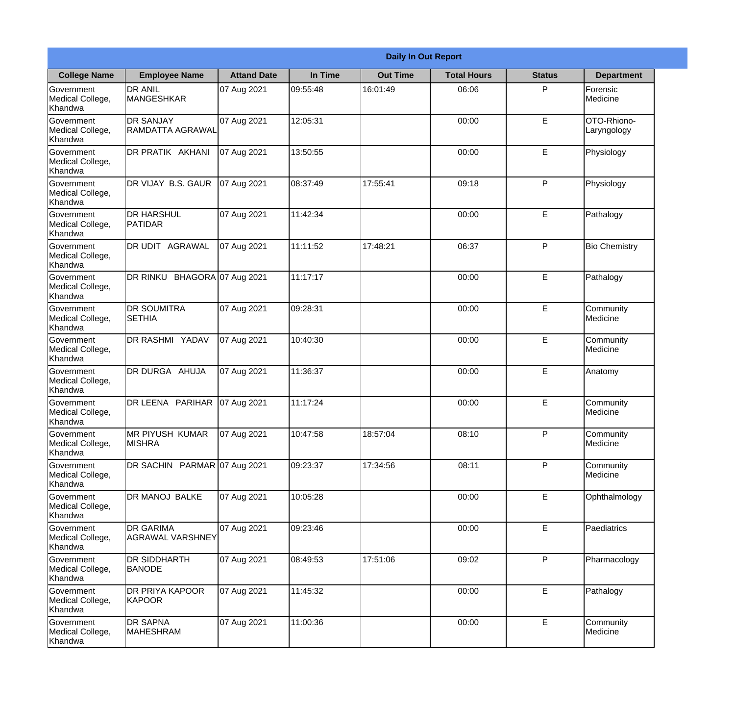|                                                  | <b>Daily In Out Report</b>           |                    |          |                 |                    |               |                                |  |  |
|--------------------------------------------------|--------------------------------------|--------------------|----------|-----------------|--------------------|---------------|--------------------------------|--|--|
| <b>College Name</b>                              | <b>Employee Name</b>                 | <b>Attand Date</b> | In Time  | <b>Out Time</b> | <b>Total Hours</b> | <b>Status</b> | <b>Department</b>              |  |  |
| Government<br>Medical College,<br>Khandwa        | <b>DR ANIL</b><br><b>MANGESHKAR</b>  | 07 Aug 2021        | 09:55:48 | 16:01:49        | 06:06              | P             | Forensic<br>Medicine           |  |  |
| Government<br>Medical College,<br>Khandwa        | <b>DR SANJAY</b><br>RAMDATTA AGRAWAL | 07 Aug 2021        | 12:05:31 |                 | 00:00              | $\mathsf E$   | OTO-Rhiono-<br>Laryngology     |  |  |
| <b>Government</b><br>Medical College,<br>Khandwa | <b>DR PRATIK AKHANI</b>              | 07 Aug 2021        | 13:50:55 |                 | 00:00              | E             | Physiology                     |  |  |
| <b>Government</b><br>Medical College,<br>Khandwa | DR VIJAY B.S. GAUR                   | 07 Aug 2021        | 08:37:49 | 17:55:41        | 09:18              | P             | Physiology                     |  |  |
| Government<br>Medical College,<br>Khandwa        | <b>IDR HARSHUL</b><br>PATIDAR        | 07 Aug 2021        | 11:42:34 |                 | 00:00              | E             | Pathalogy                      |  |  |
| Government<br>Medical College,<br>Khandwa        | DR UDIT AGRAWAL                      | 07 Aug 2021        | 11:11:52 | 17:48:21        | 06:37              | P             | <b>Bio Chemistry</b>           |  |  |
| <b>Government</b><br>Medical College,<br>Khandwa | DR RINKU BHAGORA 07 Aug 2021         |                    | 11:17:17 |                 | 00:00              | E             | Pathalogy                      |  |  |
| <b>Government</b><br>Medical College,<br>Khandwa | <b>DR SOUMITRA</b><br><b>SETHIA</b>  | 07 Aug 2021        | 09:28:31 |                 | 00:00              | E             | Community<br>Medicine          |  |  |
| Government<br>Medical College,<br>Khandwa        | <b>DR RASHMI YADAV</b>               | 07 Aug 2021        | 10:40:30 |                 | 00:00              | E             | Community<br>Medicine          |  |  |
| Government<br>Medical College,<br>Khandwa        | DR DURGA AHUJA                       | 07 Aug 2021        | 11:36:37 |                 | 00:00              | $\mathsf E$   | Anatomy                        |  |  |
| Government<br>Medical College,<br>Khandwa        | DR LEENA PARIHAR                     | 07 Aug 2021        | 11:17:24 |                 | 00:00              | E             | Community<br><b>I</b> Medicine |  |  |
| Government<br>Medical College,<br>Khandwa        | MR PIYUSH KUMAR<br><b>MISHRA</b>     | 07 Aug 2021        | 10:47:58 | 18:57:04        | 08:10              | P             | Community<br>Medicine          |  |  |
| Government<br>Medical College,<br>Khandwa        | DR SACHIN PARMAR 07 Aug 2021         |                    | 09:23:37 | 17:34:56        | 08:11              | P             | Community<br>Medicine          |  |  |
| Government<br>Medical College,<br>Khandwa        | DR MANOJ BALKE                       | 07 Aug 2021        | 10:05:28 |                 | 00:00              | $\mathsf E$   | Ophthalmology                  |  |  |
| Government<br>Medical College,<br>Khandwa        | <b>DR GARIMA</b><br>AGRAWAL VARSHNEY | 07 Aug 2021        | 09:23:46 |                 | 00:00              | E             | Paediatrics                    |  |  |
| Government<br>Medical College,<br>Khandwa        | DR SIDDHARTH<br><b>BANODE</b>        | 07 Aug 2021        | 08:49:53 | 17:51:06        | 09:02              | P             | Pharmacology                   |  |  |
| Government<br>Medical College,<br>Khandwa        | <b>DR PRIYA KAPOOR</b><br>KAPOOR     | 07 Aug 2021        | 11:45:32 |                 | 00:00              | E             | Pathalogy                      |  |  |
| Government<br>Medical College,<br>Khandwa        | <b>DR SAPNA</b><br>MAHESHRAM         | 07 Aug 2021        | 11:00:36 |                 | 00:00              | $\mathsf E$   | Community<br>Medicine          |  |  |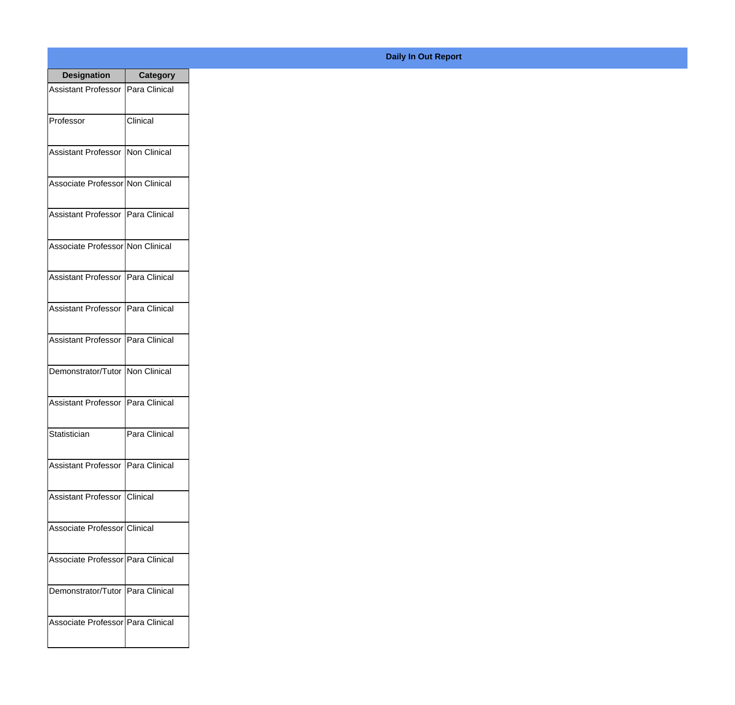| <b>Designation</b>                  | <b>Category</b> |
|-------------------------------------|-----------------|
| Assistant Professor   Para Clinical |                 |
| Professor                           | Clinical        |
| Assistant Professor   Non Clinical  |                 |
| Associate Professor Non Clinical    |                 |
| Assistant Professor   Para Clinical |                 |
| Associate Professor Non Clinical    |                 |
| Assistant Professor   Para Clinical |                 |
| Assistant Professor   Para Clinical |                 |
| Assistant Professor   Para Clinical |                 |
| Demonstrator/Tutor   Non Clinical   |                 |
| Assistant Professor                 | Para Clinical   |
| Statistician                        | Para Clinical   |
| Assistant Professor   Para Clinical |                 |
| Assistant Professor   Clinical      |                 |
| Associate Professor Clinical        |                 |
| Associate Professor   Para Clinical |                 |
| Demonstrator/Tutor   Para Clinical  |                 |
| Associate Professor Para Clinical   |                 |

## **Daily In Out Report**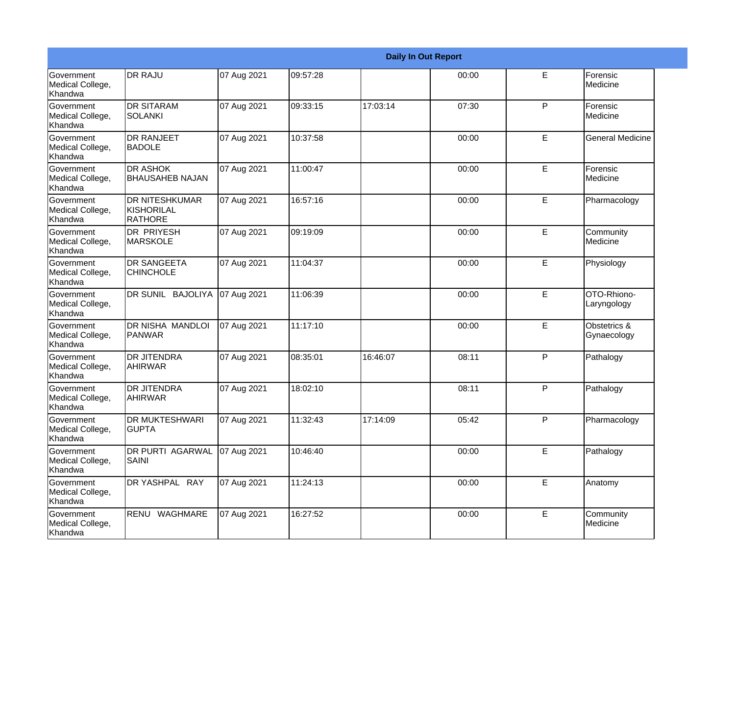|                                                  |                                                       |             |          |          | <b>Daily In Out Report</b> |             |                             |
|--------------------------------------------------|-------------------------------------------------------|-------------|----------|----------|----------------------------|-------------|-----------------------------|
| <b>Government</b><br>Medical College,<br>Khandwa | <b>DR RAJU</b>                                        | 07 Aug 2021 | 09:57:28 |          | 00:00                      | E           | Forensic<br>Medicine        |
| Government<br>Medical College,<br>Khandwa        | <b>DR SITARAM</b><br>SOLANKI                          | 07 Aug 2021 | 09:33:15 | 17:03:14 | 07:30                      | P           | Forensic<br>Medicine        |
| Government<br>Medical College,<br>Khandwa        | <b>DR RANJEET</b><br><b>BADOLE</b>                    | 07 Aug 2021 | 10:37:58 |          | 00:00                      | E           | <b>General Medicine</b>     |
| Government<br>Medical College,<br>Khandwa        | <b>DR ASHOK</b><br><b>BHAUSAHEB NAJAN</b>             | 07 Aug 2021 | 11:00:47 |          | 00:00                      | E           | Forensic<br>Medicine        |
| Government<br>Medical College,<br>Khandwa        | <b>DR NITESHKUMAR</b><br>KISHORILAL<br><b>RATHORE</b> | 07 Aug 2021 | 16:57:16 |          | 00:00                      | E           | Pharmacology                |
| Government<br>Medical College,<br>Khandwa        | <b>DR PRIYESH</b><br><b>MARSKOLE</b>                  | 07 Aug 2021 | 09:19:09 |          | 00:00                      | E           | Community<br>Medicine       |
| Government<br>Medical College,<br>Khandwa        | <b>DR SANGEETA</b><br><b>CHINCHOLE</b>                | 07 Aug 2021 | 11:04:37 |          | 00:00                      | E           | Physiology                  |
| Government<br>Medical College,<br>Khandwa        | DR SUNIL BAJOLIYA                                     | 07 Aug 2021 | 11:06:39 |          | 00:00                      | E           | OTO-Rhiono-<br>Laryngology  |
| Government<br>Medical College,<br>Khandwa        | DR NISHA MANDLOI<br><b>PANWAR</b>                     | 07 Aug 2021 | 11:17:10 |          | 00:00                      | E           | Obstetrics &<br>Gynaecology |
| Government<br>Medical College,<br>Khandwa        | <b>DR JITENDRA</b><br><b>AHIRWAR</b>                  | 07 Aug 2021 | 08:35:01 | 16:46:07 | 08:11                      | P           | Pathalogy                   |
| Government<br>Medical College,<br>Khandwa        | <b>DR JITENDRA</b><br><b>AHIRWAR</b>                  | 07 Aug 2021 | 18:02:10 |          | 08:11                      | P           | Pathalogy                   |
| Government<br>Medical College,<br>Khandwa        | <b>DR MUKTESHWARI</b><br><b>GUPTA</b>                 | 07 Aug 2021 | 11:32:43 | 17:14:09 | 05:42                      | P           | Pharmacology                |
| Government<br>Medical College,<br>Khandwa        | <b>DR PURTI AGARWAL</b><br><b>SAINI</b>               | 07 Aug 2021 | 10:46:40 |          | 00:00                      | E           | Pathalogy                   |
| Government<br>Medical College,<br>Khandwa        | DR YASHPAL RAY                                        | 07 Aug 2021 | 11:24:13 |          | 00:00                      | $\mathsf E$ | Anatomy                     |
| Government<br>Medical College,<br>Khandwa        | RENU WAGHMARE                                         | 07 Aug 2021 | 16:27:52 |          | 00:00                      | E           | Community<br>Medicine       |